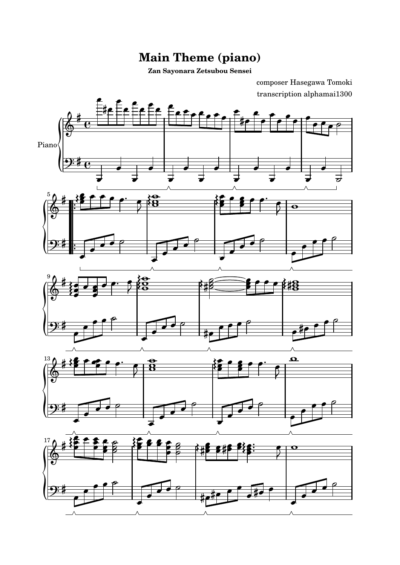## **Main Theme (piano)**

**Zan Sayonara Zetsubou Sensei**

transcription alphamai1300 composer Hasegawa Tomoki